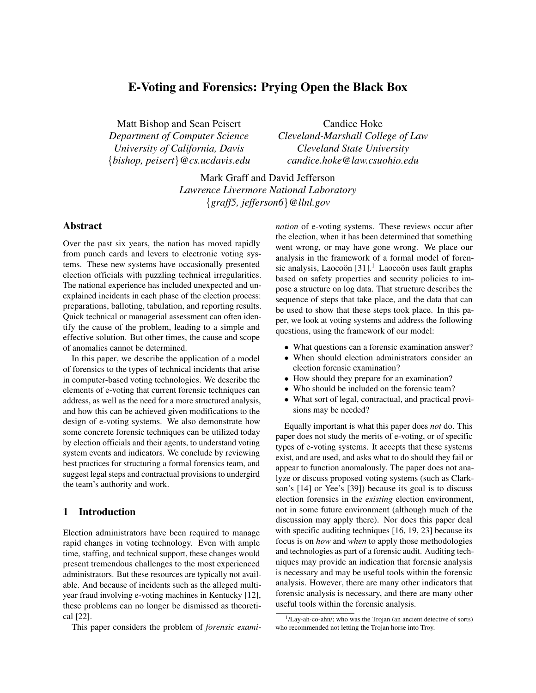# E-Voting and Forensics: Prying Open the Black Box

Matt Bishop and Sean Peisert *Department of Computer Science University of California, Davis* {*bishop, peisert*}*@cs.ucdavis.edu*

Candice Hoke *Cleveland-Marshall College of Law Cleveland State University candice.hoke@law.csuohio.edu*

Mark Graff and David Jefferson *Lawrence Livermore National Laboratory* {*graff5, jefferson6*}*@llnl.gov*

## Abstract

Over the past six years, the nation has moved rapidly from punch cards and levers to electronic voting systems. These new systems have occasionally presented election officials with puzzling technical irregularities. The national experience has included unexpected and unexplained incidents in each phase of the election process: preparations, balloting, tabulation, and reporting results. Quick technical or managerial assessment can often identify the cause of the problem, leading to a simple and effective solution. But other times, the cause and scope of anomalies cannot be determined.

In this paper, we describe the application of a model of forensics to the types of technical incidents that arise in computer-based voting technologies. We describe the elements of e-voting that current forensic techniques can address, as well as the need for a more structured analysis, and how this can be achieved given modifications to the design of e-voting systems. We also demonstrate how some concrete forensic techniques can be utilized today by election officials and their agents, to understand voting system events and indicators. We conclude by reviewing best practices for structuring a formal forensics team, and suggest legal steps and contractual provisions to undergird the team's authority and work.

## 1 Introduction

Election administrators have been required to manage rapid changes in voting technology. Even with ample time, staffing, and technical support, these changes would present tremendous challenges to the most experienced administrators. But these resources are typically not available. And because of incidents such as the alleged multiyear fraud involving e-voting machines in Kentucky [12], these problems can no longer be dismissed as theoretical [22].

This paper considers the problem of *forensic exami-*

*nation* of e-voting systems. These reviews occur after the election, when it has been determined that something went wrong, or may have gone wrong. We place our analysis in the framework of a formal model of forensic analysis, Laocoön  $[31]$ .<sup>1</sup> Laocoön uses fault graphs based on safety properties and security policies to impose a structure on log data. That structure describes the sequence of steps that take place, and the data that can be used to show that these steps took place. In this paper, we look at voting systems and address the following questions, using the framework of our model:

- What questions can a forensic examination answer?
- When should election administrators consider an election forensic examination?
- How should they prepare for an examination?
- Who should be included on the forensic team?
- What sort of legal, contractual, and practical provisions may be needed?

Equally important is what this paper does *not* do. This paper does not study the merits of e-voting, or of specific types of e-voting systems. It accepts that these systems exist, and are used, and asks what to do should they fail or appear to function anomalously. The paper does not analyze or discuss proposed voting systems (such as Clarkson's [14] or Yee's [39]) because its goal is to discuss election forensics in the *existing* election environment, not in some future environment (although much of the discussion may apply there). Nor does this paper deal with specific auditing techniques [16, 19, 23] because its focus is on *how* and *when* to apply those methodologies and technologies as part of a forensic audit. Auditing techniques may provide an indication that forensic analysis is necessary and may be useful tools within the forensic analysis. However, there are many other indicators that forensic analysis is necessary, and there are many other useful tools within the forensic analysis.

<sup>&</sup>lt;sup>1</sup>/Lay-ah-co-ahn/; who was the Trojan (an ancient detective of sorts) who recommended not letting the Trojan horse into Troy.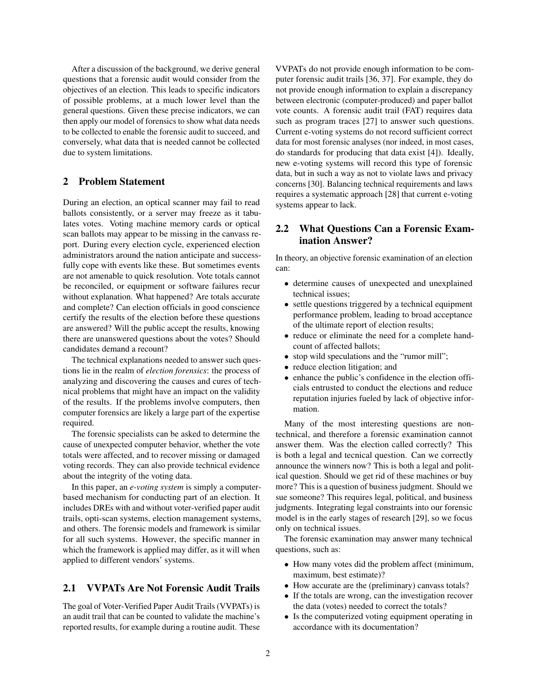After a discussion of the background, we derive general questions that a forensic audit would consider from the objectives of an election. This leads to specific indicators of possible problems, at a much lower level than the general questions. Given these precise indicators, we can then apply our model of forensics to show what data needs to be collected to enable the forensic audit to succeed, and conversely, what data that is needed cannot be collected due to system limitations.

### 2 Problem Statement

During an election, an optical scanner may fail to read ballots consistently, or a server may freeze as it tabulates votes. Voting machine memory cards or optical scan ballots may appear to be missing in the canvass report. During every election cycle, experienced election administrators around the nation anticipate and successfully cope with events like these. But sometimes events are not amenable to quick resolution. Vote totals cannot be reconciled, or equipment or software failures recur without explanation. What happened? Are totals accurate and complete? Can election officials in good conscience certify the results of the election before these questions are answered? Will the public accept the results, knowing there are unanswered questions about the votes? Should candidates demand a recount?

The technical explanations needed to answer such questions lie in the realm of *election forensics*: the process of analyzing and discovering the causes and cures of technical problems that might have an impact on the validity of the results. If the problems involve computers, then computer forensics are likely a large part of the expertise required.

The forensic specialists can be asked to determine the cause of unexpected computer behavior, whether the vote totals were affected, and to recover missing or damaged voting records. They can also provide technical evidence about the integrity of the voting data.

In this paper, an *e-voting system* is simply a computerbased mechanism for conducting part of an election. It includes DREs with and without voter-verified paper audit trails, opti-scan systems, election management systems, and others. The forensic models and framework is similar for all such systems. However, the specific manner in which the framework is applied may differ, as it will when applied to different vendors' systems.

## 2.1 VVPATs Are Not Forensic Audit Trails

The goal of Voter-Verified Paper Audit Trails (VVPATs) is an audit trail that can be counted to validate the machine's reported results, for example during a routine audit. These VVPATs do not provide enough information to be computer forensic audit trails [36, 37]. For example, they do not provide enough information to explain a discrepancy between electronic (computer-produced) and paper ballot vote counts. A forensic audit trail (FAT) requires data such as program traces [27] to answer such questions. Current e-voting systems do not record sufficient correct data for most forensic analyses (nor indeed, in most cases, do standards for producing that data exist [4]). Ideally, new e-voting systems will record this type of forensic data, but in such a way as not to violate laws and privacy concerns [30]. Balancing technical requirements and laws requires a systematic approach [28] that current e-voting systems appear to lack.

## 2.2 What Questions Can a Forensic Examination Answer?

In theory, an objective forensic examination of an election can:

- determine causes of unexpected and unexplained technical issues;
- settle questions triggered by a technical equipment performance problem, leading to broad acceptance of the ultimate report of election results;
- reduce or eliminate the need for a complete handcount of affected ballots;
- stop wild speculations and the "rumor mill";
- reduce election litigation; and
- enhance the public's confidence in the election officials entrusted to conduct the elections and reduce reputation injuries fueled by lack of objective information.

Many of the most interesting questions are nontechnical, and therefore a forensic examination cannot answer them. Was the election called correctly? This is both a legal and tecnical question. Can we correctly announce the winners now? This is both a legal and political question. Should we get rid of these machines or buy more? This is a question of business judgment. Should we sue someone? This requires legal, political, and business judgments. Integrating legal constraints into our forensic model is in the early stages of research [29], so we focus only on technical issues.

The forensic examination may answer many technical questions, such as:

- How many votes did the problem affect (minimum, maximum, best estimate)?
- How accurate are the (preliminary) canvass totals?
- If the totals are wrong, can the investigation recover the data (votes) needed to correct the totals?
- Is the computerized voting equipment operating in accordance with its documentation?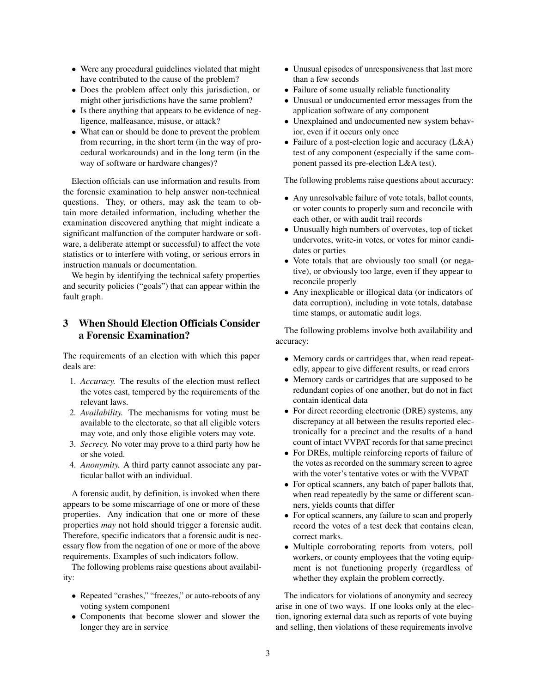- Were any procedural guidelines violated that might have contributed to the cause of the problem?
- Does the problem affect only this jurisdiction, or might other jurisdictions have the same problem?
- Is there anything that appears to be evidence of negligence, malfeasance, misuse, or attack?
- What can or should be done to prevent the problem from recurring, in the short term (in the way of procedural workarounds) and in the long term (in the way of software or hardware changes)?

Election officials can use information and results from the forensic examination to help answer non-technical questions. They, or others, may ask the team to obtain more detailed information, including whether the examination discovered anything that might indicate a significant malfunction of the computer hardware or software, a deliberate attempt or successful) to affect the vote statistics or to interfere with voting, or serious errors in instruction manuals or documentation.

We begin by identifying the technical safety properties and security policies ("goals") that can appear within the fault graph.

# 3 When Should Election Officials Consider a Forensic Examination?

The requirements of an election with which this paper deals are:

- 1. *Accuracy.* The results of the election must reflect the votes cast, tempered by the requirements of the relevant laws.
- 2. *Availability.* The mechanisms for voting must be available to the electorate, so that all eligible voters may vote, and only those eligible voters may vote.
- 3. *Secrecy.* No voter may prove to a third party how he or she voted.
- 4. *Anonymity.* A third party cannot associate any particular ballot with an individual.

A forensic audit, by definition, is invoked when there appears to be some miscarriage of one or more of these properties. Any indication that one or more of these properties *may* not hold should trigger a forensic audit. Therefore, specific indicators that a forensic audit is necessary flow from the negation of one or more of the above requirements. Examples of such indicators follow.

The following problems raise questions about availability:

- Repeated "crashes," "freezes," or auto-reboots of any voting system component
- Components that become slower and slower the longer they are in service
- Unusual episodes of unresponsiveness that last more than a few seconds
- Failure of some usually reliable functionality
- Unusual or undocumented error messages from the application software of any component
- Unexplained and undocumented new system behavior, even if it occurs only once
- Failure of a post-election logic and accuracy (L&A) test of any component (especially if the same component passed its pre-election L&A test).

The following problems raise questions about accuracy:

- Any unresolvable failure of vote totals, ballot counts, or voter counts to properly sum and reconcile with each other, or with audit trail records
- Unusually high numbers of overvotes, top of ticket undervotes, write-in votes, or votes for minor candidates or parties
- Vote totals that are obviously too small (or negative), or obviously too large, even if they appear to reconcile properly
- Any inexplicable or illogical data (or indicators of data corruption), including in vote totals, database time stamps, or automatic audit logs.

The following problems involve both availability and accuracy:

- Memory cards or cartridges that, when read repeatedly, appear to give different results, or read errors
- Memory cards or cartridges that are supposed to be redundant copies of one another, but do not in fact contain identical data
- For direct recording electronic (DRE) systems, any discrepancy at all between the results reported electronically for a precinct and the results of a hand count of intact VVPAT records for that same precinct
- For DREs, multiple reinforcing reports of failure of the votes as recorded on the summary screen to agree with the voter's tentative votes or with the VVPAT
- For optical scanners, any batch of paper ballots that, when read repeatedly by the same or different scanners, yields counts that differ
- For optical scanners, any failure to scan and properly record the votes of a test deck that contains clean, correct marks.
- Multiple corroborating reports from voters, poll workers, or county employees that the voting equipment is not functioning properly (regardless of whether they explain the problem correctly.

The indicators for violations of anonymity and secrecy arise in one of two ways. If one looks only at the election, ignoring external data such as reports of vote buying and selling, then violations of these requirements involve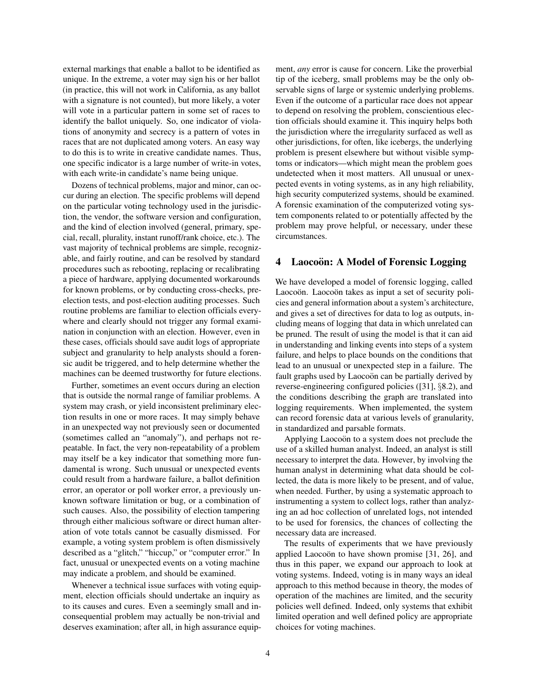external markings that enable a ballot to be identified as unique. In the extreme, a voter may sign his or her ballot (in practice, this will not work in California, as any ballot with a signature is not counted), but more likely, a voter will vote in a particular pattern in some set of races to identify the ballot uniquely. So, one indicator of violations of anonymity and secrecy is a pattern of votes in races that are not duplicated among voters. An easy way to do this is to write in creative candidate names. Thus, one specific indicator is a large number of write-in votes, with each write-in candidate's name being unique.

Dozens of technical problems, major and minor, can occur during an election. The specific problems will depend on the particular voting technology used in the jurisdiction, the vendor, the software version and configuration, and the kind of election involved (general, primary, special, recall, plurality, instant runoff/rank choice, etc.). The vast majority of technical problems are simple, recognizable, and fairly routine, and can be resolved by standard procedures such as rebooting, replacing or recalibrating a piece of hardware, applying documented workarounds for known problems, or by conducting cross-checks, preelection tests, and post-election auditing processes. Such routine problems are familiar to election officials everywhere and clearly should not trigger any formal examination in conjunction with an election. However, even in these cases, officials should save audit logs of appropriate subject and granularity to help analysts should a forensic audit be triggered, and to help determine whether the machines can be deemed trustworthy for future elections.

Further, sometimes an event occurs during an election that is outside the normal range of familiar problems. A system may crash, or yield inconsistent preliminary election results in one or more races. It may simply behave in an unexpected way not previously seen or documented (sometimes called an "anomaly"), and perhaps not repeatable. In fact, the very non-repeatability of a problem may itself be a key indicator that something more fundamental is wrong. Such unusual or unexpected events could result from a hardware failure, a ballot definition error, an operator or poll worker error, a previously unknown software limitation or bug, or a combination of such causes. Also, the possibility of election tampering through either malicious software or direct human alteration of vote totals cannot be casually dismissed. For example, a voting system problem is often dismissively described as a "glitch," "hiccup," or "computer error." In fact, unusual or unexpected events on a voting machine may indicate a problem, and should be examined.

Whenever a technical issue surfaces with voting equipment, election officials should undertake an inquiry as to its causes and cures. Even a seemingly small and inconsequential problem may actually be non-trivial and deserves examination; after all, in high assurance equipment, *any* error is cause for concern. Like the proverbial tip of the iceberg, small problems may be the only observable signs of large or systemic underlying problems. Even if the outcome of a particular race does not appear to depend on resolving the problem, conscientious election officials should examine it. This inquiry helps both the jurisdiction where the irregularity surfaced as well as other jurisdictions, for often, like icebergs, the underlying problem is present elsewhere but without visible symptoms or indicators—which might mean the problem goes undetected when it most matters. All unusual or unexpected events in voting systems, as in any high reliability, high security computerized systems, should be examined. A forensic examination of the computerized voting system components related to or potentially affected by the problem may prove helpful, or necessary, under these circumstances.

## 4 Laocoön: A Model of Forensic Logging

We have developed a model of forensic logging, called Laocoön. Laocoön takes as input a set of security policies and general information about a system's architecture, and gives a set of directives for data to log as outputs, including means of logging that data in which unrelated can be pruned. The result of using the model is that it can aid in understanding and linking events into steps of a system failure, and helps to place bounds on the conditions that lead to an unusual or unexpected step in a failure. The fault graphs used by Laocoön can be partially derived by reverse-engineering configured policies ([31], §8.2), and the conditions describing the graph are translated into logging requirements. When implemented, the system can record forensic data at various levels of granularity, in standardized and parsable formats.

Applying Laocoon to a system does not preclude the use of a skilled human analyst. Indeed, an analyst is still necessary to interpret the data. However, by involving the human analyst in determining what data should be collected, the data is more likely to be present, and of value, when needed. Further, by using a systematic approach to instrumenting a system to collect logs, rather than analyzing an ad hoc collection of unrelated logs, not intended to be used for forensics, the chances of collecting the necessary data are increased.

The results of experiments that we have previously applied Laocoon to have shown promise  $[31, 26]$ , and thus in this paper, we expand our approach to look at voting systems. Indeed, voting is in many ways an ideal approach to this method because in theory, the modes of operation of the machines are limited, and the security policies well defined. Indeed, only systems that exhibit limited operation and well defined policy are appropriate choices for voting machines.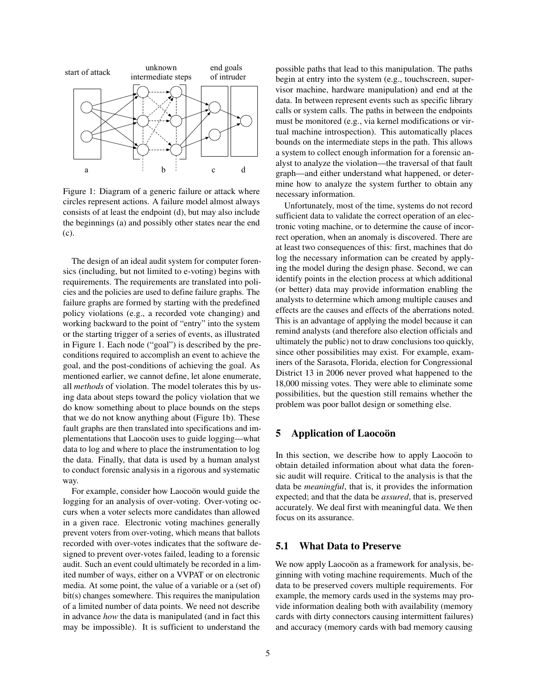

Figure 1: Diagram of a generic failure or attack where circles represent actions. A failure model almost always consists of at least the endpoint (d), but may also include the beginnings (a) and possibly other states near the end (c).

The design of an ideal audit system for computer forensics (including, but not limited to e-voting) begins with requirements. The requirements are translated into policies and the policies are used to define failure graphs. The failure graphs are formed by starting with the predefined policy violations (e.g., a recorded vote changing) and working backward to the point of "entry" into the system or the starting trigger of a series of events, as illustrated in Figure 1. Each node ("goal") is described by the preconditions required to accomplish an event to achieve the goal, and the post-conditions of achieving the goal. As mentioned earlier, we cannot define, let alone enumerate, all *methods* of violation. The model tolerates this by using data about steps toward the policy violation that we do know something about to place bounds on the steps that we do not know anything about (Figure 1b). These fault graphs are then translated into specifications and implementations that Laocoon uses to guide logging—what data to log and where to place the instrumentation to log the data. Finally, that data is used by a human analyst to conduct forensic analysis in a rigorous and systematic way.

For example, consider how Laocoon would guide the logging for an analysis of over-voting. Over-voting occurs when a voter selects more candidates than allowed in a given race. Electronic voting machines generally prevent voters from over-voting, which means that ballots recorded with over-votes indicates that the software designed to prevent over-votes failed, leading to a forensic audit. Such an event could ultimately be recorded in a limited number of ways, either on a VVPAT or on electronic media. At some point, the value of a variable or a (set of) bit(s) changes somewhere. This requires the manipulation of a limited number of data points. We need not describe in advance *how* the data is manipulated (and in fact this may be impossible). It is sufficient to understand the possible paths that lead to this manipulation. The paths begin at entry into the system (e.g., touchscreen, supervisor machine, hardware manipulation) and end at the data. In between represent events such as specific library calls or system calls. The paths in between the endpoints must be monitored (e.g., via kernel modifications or virtual machine introspection). This automatically places bounds on the intermediate steps in the path. This allows a system to collect enough information for a forensic analyst to analyze the violation—the traversal of that fault graph—and either understand what happened, or determine how to analyze the system further to obtain any necessary information.

Unfortunately, most of the time, systems do not record sufficient data to validate the correct operation of an electronic voting machine, or to determine the cause of incorrect operation, when an anomaly is discovered. There are at least two consequences of this: first, machines that do log the necessary information can be created by applying the model during the design phase. Second, we can identify points in the election process at which additional (or better) data may provide information enabling the analysts to determine which among multiple causes and effects are the causes and effects of the aberrations noted. This is an advantage of applying the model because it can remind analysts (and therefore also election officials and ultimately the public) not to draw conclusions too quickly, since other possibilities may exist. For example, examiners of the Sarasota, Florida, election for Congressional District 13 in 2006 never proved what happened to the 18,000 missing votes. They were able to eliminate some possibilities, but the question still remains whether the problem was poor ballot design or something else.

### 5 Application of Laocoon

In this section, we describe how to apply Laocoon to obtain detailed information about what data the forensic audit will require. Critical to the analysis is that the data be *meaningful*, that is, it provides the information expected; and that the data be *assured*, that is, preserved accurately. We deal first with meaningful data. We then focus on its assurance.

## 5.1 What Data to Preserve

We now apply Laocoon as a framework for analysis, beginning with voting machine requirements. Much of the data to be preserved covers multiple requirements. For example, the memory cards used in the systems may provide information dealing both with availability (memory cards with dirty connectors causing intermittent failures) and accuracy (memory cards with bad memory causing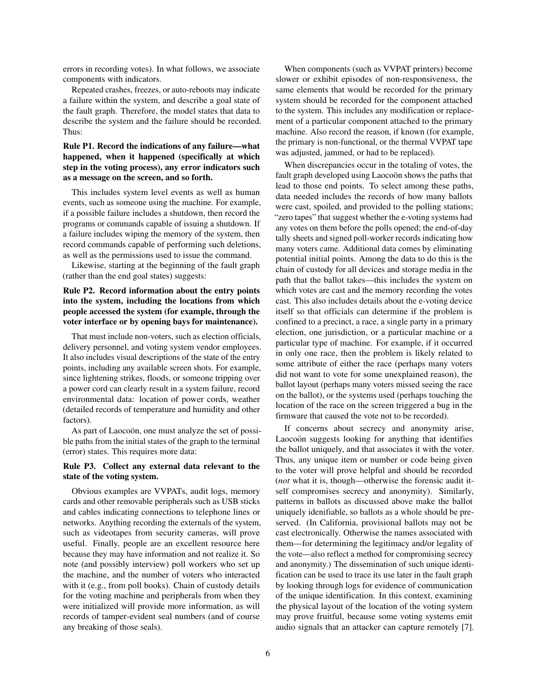errors in recording votes). In what follows, we associate components with indicators.

Repeated crashes, freezes, or auto-reboots may indicate a failure within the system, and describe a goal state of the fault graph. Therefore, the model states that data to describe the system and the failure should be recorded. Thus:

### Rule P1. Record the indications of any failure—what happened, when it happened (specifically at which step in the voting process), any error indicators such as a message on the screen, and so forth.

This includes system level events as well as human events, such as someone using the machine. For example, if a possible failure includes a shutdown, then record the programs or commands capable of issuing a shutdown. If a failure includes wiping the memory of the system, then record commands capable of performing such deletions, as well as the permissions used to issue the command.

Likewise, starting at the beginning of the fault graph (rather than the end goal states) suggests:

### Rule P2. Record information about the entry points into the system, including the locations from which people accessed the system (for example, through the voter interface or by opening bays for maintenance).

That must include non-voters, such as election officials, delivery personnel, and voting system vendor employees. It also includes visual descriptions of the state of the entry points, including any available screen shots. For example, since lightening strikes, floods, or someone tripping over a power cord can clearly result in a system failure, record environmental data: location of power cords, weather (detailed records of temperature and humidity and other factors).

As part of Laocoön, one must analyze the set of possible paths from the initial states of the graph to the terminal (error) states. This requires more data:

### Rule P3. Collect any external data relevant to the state of the voting system.

Obvious examples are VVPATs, audit logs, memory cards and other removable peripherals such as USB sticks and cables indicating connections to telephone lines or networks. Anything recording the externals of the system, such as videotapes from security cameras, will prove useful. Finally, people are an excellent resource here because they may have information and not realize it. So note (and possibly interview) poll workers who set up the machine, and the number of voters who interacted with it (e.g., from poll books). Chain of custody details for the voting machine and peripherals from when they were initialized will provide more information, as will records of tamper-evident seal numbers (and of course any breaking of those seals).

When components (such as VVPAT printers) become slower or exhibit episodes of non-responsiveness, the same elements that would be recorded for the primary system should be recorded for the component attached to the system. This includes any modification or replacement of a particular component attached to the primary machine. Also record the reason, if known (for example, the primary is non-functional, or the thermal VVPAT tape was adjusted, jammed, or had to be replaced).

When discrepancies occur in the totaling of votes, the fault graph developed using Laocoon shows the paths that lead to those end points. To select among these paths, data needed includes the records of how many ballots were cast, spoiled, and provided to the polling stations; "zero tapes" that suggest whether the e-voting systems had any votes on them before the polls opened; the end-of-day tally sheets and signed poll-worker records indicating how many voters came. Additional data comes by eliminating potential initial points. Among the data to do this is the chain of custody for all devices and storage media in the path that the ballot takes—this includes the system on which votes are cast and the memory recording the votes cast. This also includes details about the e-voting device itself so that officials can determine if the problem is confined to a precinct, a race, a single party in a primary election, one jurisdiction, or a particular machine or a particular type of machine. For example, if it occurred in only one race, then the problem is likely related to some attribute of either the race (perhaps many voters did not want to vote for some unexplained reason), the ballot layout (perhaps many voters missed seeing the race on the ballot), or the systems used (perhaps touching the location of the race on the screen triggered a bug in the firmware that caused the vote not to be recorded).

If concerns about secrecy and anonymity arise, Laocoon suggests looking for anything that identifies the ballot uniquely, and that associates it with the voter. Thus, any unique item or number or code being given to the voter will prove helpful and should be recorded (*not* what it is, though—otherwise the forensic audit itself compromises secrecy and anonymity). Similarly, patterns in ballots as discussed above make the ballot uniquely idenifiable, so ballots as a whole should be preserved. (In California, provisional ballots may not be cast electronically. Otherwise the names associated with them—for determining the legitimacy and/or legality of the vote—also reflect a method for compromising secrecy and anonymity.) The dissemination of such unique identification can be used to trace its use later in the fault graph by looking through logs for evidence of communication of the unique identification. In this context, examining the physical layout of the location of the voting system may prove fruitful, because some voting systems emit audio signals that an attacker can capture remotely [7].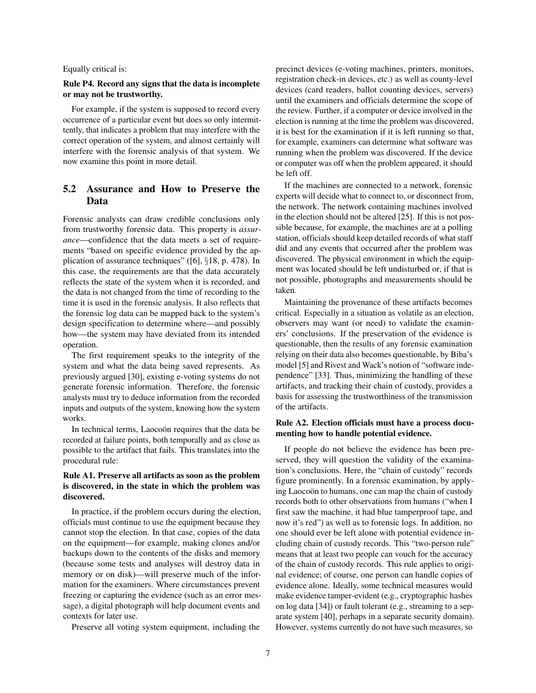Equally critical is:

### Rule P4. Record any signs that the data is incomplete or may not be trustworthy.

For example, if the system is supposed to record every occurrence of a particular event but does so only intermittently, that indicates a problem that may interfere with the correct operation of the system, and almost certainly will interfere with the forensic analysis of that system. We now examine this point in more detail.

# 5.2 Assurance and How to Preserve the Data

Forensic analysts can draw credible conclusions only from trustworthy forensic data. This property is *assurance*—confidence that the data meets a set of requirements "based on specific evidence provided by the application of assurance techniques" ([6], §18, p. 478). In this case, the requirements are that the data accurately reflects the state of the system when it is recorded, and the data is not changed from the time of recording to the time it is used in the forensic analysis. It also reflects that the forensic log data can be mapped back to the system's design specification to determine where—and possibly how—the system may have deviated from its intended operation.

The first requirement speaks to the integrity of the system and what the data being saved represents. As previously argued [30], existing e-voting systems do not generate forensic information. Therefore, the forensic analysts must try to deduce information from the recorded inputs and outputs of the system, knowing how the system works.

In technical terms, Laocoon requires that the data be recorded at failure points, both temporally and as close as possible to the artifact that fails. This translates into the procedural rule:

### Rule A1. Preserve all artifacts as soon as the problem is discovered, in the state in which the problem was discovered.

In practice, if the problem occurs during the election, officials must continue to use the equipment because they cannot stop the election. In that case, copies of the data on the equipment—for example, making clones and/or backups down to the contents of the disks and memory (because some tests and analyses will destroy data in memory or on disk)—will preserve much of the information for the examiners. Where circumstances prevent freezing or capturing the evidence (such as an error message), a digital photograph will help document events and contexts for later use.

Preserve all voting system equipment, including the

precinct devices (e-voting machines, printers, monitors, registration check-in devices, etc.) as well as county-level devices (card readers, ballot counting devices, servers) until the examiners and officials determine the scope of the review. Further, if a computer or device involved in the election is running at the time the problem was discovered, it is best for the examination if it is left running so that, for example, examiners can determine what software was running when the problem was discovered. If the device or computer was off when the problem appeared, it should be left off.

If the machines are connected to a network, forensic experts will decide what to connect to, or disconnect from, the network. The network containing machines involved in the election should not be altered [25]. If this is not possible because, for example, the machines are at a polling station, officials should keep detailed records of what staff did and any events that occurred after the problem was discovered. The physical environment in which the equipment was located should be left undisturbed or, if that is not possible, photographs and measurements should be taken.

Maintaining the provenance of these artifacts becomes critical. Especially in a situation as volatile as an election, observers may want (or need) to validate the examiners' conclusions. If the preservation of the evidence is questionable, then the results of any forensic examination relying on their data also becomes questionable, by Biba's model [5] and Rivest and Wack's notion of "software independence" [33]. Thus, minimizing the handling of these artifacts, and tracking their chain of custody, provides a basis for assessing the trustworthiness of the transmission of the artifacts.

### Rule A2. Election officials must have a process documenting how to handle potential evidence.

If people do not believe the evidence has been preserved, they will question the validity of the examination's conclusions. Here, the "chain of custody" records figure prominently. In a forensic examination, by applying Laocoön to humans, one can map the chain of custody records both to other observations from humans ("when I first saw the machine, it had blue tamperproof tape, and now it's red") as well as to forensic logs. In addition, no one should ever be left alone with potential evidence including chain of custody records. This "two-person rule" means that at least two people can vouch for the accuracy of the chain of custody records. This rule applies to original evidence; of course, one person can handle copies of evidence alone. Ideally, some technical measures would make evidence tamper-evident (e.g., cryptographic hashes on log data [34]) or fault tolerant (e.g., streaming to a separate system [40], perhaps in a separate security domain). However, systems currently do not have such measures, so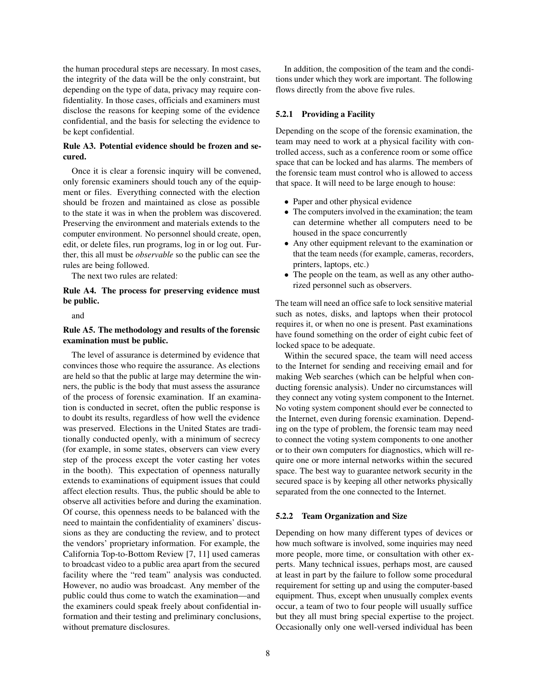the human procedural steps are necessary. In most cases, the integrity of the data will be the only constraint, but depending on the type of data, privacy may require confidentiality. In those cases, officials and examiners must disclose the reasons for keeping some of the evidence confidential, and the basis for selecting the evidence to be kept confidential.

### Rule A3. Potential evidence should be frozen and secured.

Once it is clear a forensic inquiry will be convened, only forensic examiners should touch any of the equipment or files. Everything connected with the election should be frozen and maintained as close as possible to the state it was in when the problem was discovered. Preserving the environment and materials extends to the computer environment. No personnel should create, open, edit, or delete files, run programs, log in or log out. Further, this all must be *observable* so the public can see the rules are being followed.

The next two rules are related:

### Rule A4. The process for preserving evidence must be public.

and

### Rule A5. The methodology and results of the forensic examination must be public.

The level of assurance is determined by evidence that convinces those who require the assurance. As elections are held so that the public at large may determine the winners, the public is the body that must assess the assurance of the process of forensic examination. If an examination is conducted in secret, often the public response is to doubt its results, regardless of how well the evidence was preserved. Elections in the United States are traditionally conducted openly, with a minimum of secrecy (for example, in some states, observers can view every step of the process except the voter casting her votes in the booth). This expectation of openness naturally extends to examinations of equipment issues that could affect election results. Thus, the public should be able to observe all activities before and during the examination. Of course, this openness needs to be balanced with the need to maintain the confidentiality of examiners' discussions as they are conducting the review, and to protect the vendors' proprietary information. For example, the California Top-to-Bottom Review [7, 11] used cameras to broadcast video to a public area apart from the secured facility where the "red team" analysis was conducted. However, no audio was broadcast. Any member of the public could thus come to watch the examination—and the examiners could speak freely about confidential information and their testing and preliminary conclusions, without premature disclosures.

In addition, the composition of the team and the conditions under which they work are important. The following flows directly from the above five rules.

### 5.2.1 Providing a Facility

Depending on the scope of the forensic examination, the team may need to work at a physical facility with controlled access, such as a conference room or some office space that can be locked and has alarms. The members of the forensic team must control who is allowed to access that space. It will need to be large enough to house:

- Paper and other physical evidence
- The computers involved in the examination; the team can determine whether all computers need to be housed in the space concurrently
- Any other equipment relevant to the examination or that the team needs (for example, cameras, recorders, printers, laptops, etc.)
- The people on the team, as well as any other authorized personnel such as observers.

The team will need an office safe to lock sensitive material such as notes, disks, and laptops when their protocol requires it, or when no one is present. Past examinations have found something on the order of eight cubic feet of locked space to be adequate.

Within the secured space, the team will need access to the Internet for sending and receiving email and for making Web searches (which can be helpful when conducting forensic analysis). Under no circumstances will they connect any voting system component to the Internet. No voting system component should ever be connected to the Internet, even during forensic examination. Depending on the type of problem, the forensic team may need to connect the voting system components to one another or to their own computers for diagnostics, which will require one or more internal networks within the secured space. The best way to guarantee network security in the secured space is by keeping all other networks physically separated from the one connected to the Internet.

#### 5.2.2 Team Organization and Size

Depending on how many different types of devices or how much software is involved, some inquiries may need more people, more time, or consultation with other experts. Many technical issues, perhaps most, are caused at least in part by the failure to follow some procedural requirement for setting up and using the computer-based equipment. Thus, except when unusually complex events occur, a team of two to four people will usually suffice but they all must bring special expertise to the project. Occasionally only one well-versed individual has been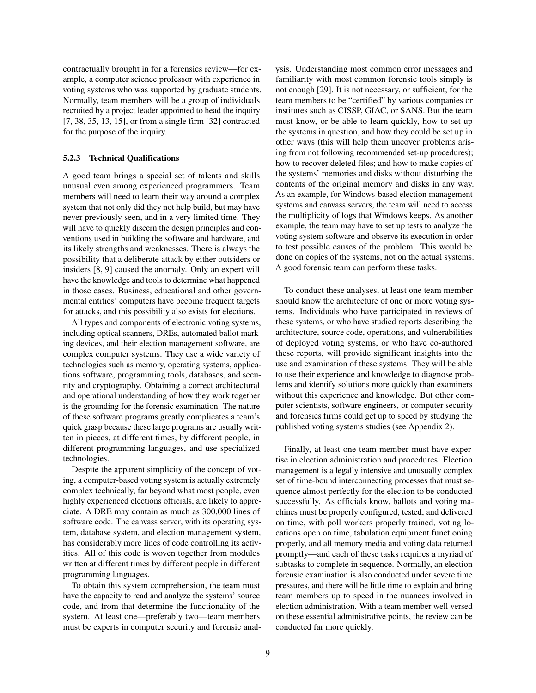contractually brought in for a forensics review—for example, a computer science professor with experience in voting systems who was supported by graduate students. Normally, team members will be a group of individuals recruited by a project leader appointed to head the inquiry [7, 38, 35, 13, 15], or from a single firm [32] contracted for the purpose of the inquiry.

#### 5.2.3 Technical Qualifications

A good team brings a special set of talents and skills unusual even among experienced programmers. Team members will need to learn their way around a complex system that not only did they not help build, but may have never previously seen, and in a very limited time. They will have to quickly discern the design principles and conventions used in building the software and hardware, and its likely strengths and weaknesses. There is always the possibility that a deliberate attack by either outsiders or insiders [8, 9] caused the anomaly. Only an expert will have the knowledge and tools to determine what happened in those cases. Business, educational and other governmental entities' computers have become frequent targets for attacks, and this possibility also exists for elections.

All types and components of electronic voting systems, including optical scanners, DREs, automated ballot marking devices, and their election management software, are complex computer systems. They use a wide variety of technologies such as memory, operating systems, applications software, programming tools, databases, and security and cryptography. Obtaining a correct architectural and operational understanding of how they work together is the grounding for the forensic examination. The nature of these software programs greatly complicates a team's quick grasp because these large programs are usually written in pieces, at different times, by different people, in different programming languages, and use specialized technologies.

Despite the apparent simplicity of the concept of voting, a computer-based voting system is actually extremely complex technically, far beyond what most people, even highly experienced elections officials, are likely to appreciate. A DRE may contain as much as 300,000 lines of software code. The canvass server, with its operating system, database system, and election management system, has considerably more lines of code controlling its activities. All of this code is woven together from modules written at different times by different people in different programming languages.

To obtain this system comprehension, the team must have the capacity to read and analyze the systems' source code, and from that determine the functionality of the system. At least one—preferably two—team members must be experts in computer security and forensic analysis. Understanding most common error messages and familiarity with most common forensic tools simply is not enough [29]. It is not necessary, or sufficient, for the team members to be "certified" by various companies or institutes such as CISSP, GIAC, or SANS. But the team must know, or be able to learn quickly, how to set up the systems in question, and how they could be set up in other ways (this will help them uncover problems arising from not following recommended set-up procedures); how to recover deleted files; and how to make copies of the systems' memories and disks without disturbing the contents of the original memory and disks in any way. As an example, for Windows-based election management systems and canvass servers, the team will need to access the multiplicity of logs that Windows keeps. As another example, the team may have to set up tests to analyze the voting system software and observe its execution in order to test possible causes of the problem. This would be done on copies of the systems, not on the actual systems. A good forensic team can perform these tasks.

To conduct these analyses, at least one team member should know the architecture of one or more voting systems. Individuals who have participated in reviews of these systems, or who have studied reports describing the architecture, source code, operations, and vulnerabilities of deployed voting systems, or who have co-authored these reports, will provide significant insights into the use and examination of these systems. They will be able to use their experience and knowledge to diagnose problems and identify solutions more quickly than examiners without this experience and knowledge. But other computer scientists, software engineers, or computer security and forensics firms could get up to speed by studying the published voting systems studies (see Appendix 2).

Finally, at least one team member must have expertise in election administration and procedures. Election management is a legally intensive and unusually complex set of time-bound interconnecting processes that must sequence almost perfectly for the election to be conducted successfully. As officials know, ballots and voting machines must be properly configured, tested, and delivered on time, with poll workers properly trained, voting locations open on time, tabulation equipment functioning properly, and all memory media and voting data returned promptly—and each of these tasks requires a myriad of subtasks to complete in sequence. Normally, an election forensic examination is also conducted under severe time pressures, and there will be little time to explain and bring team members up to speed in the nuances involved in election administration. With a team member well versed on these essential administrative points, the review can be conducted far more quickly.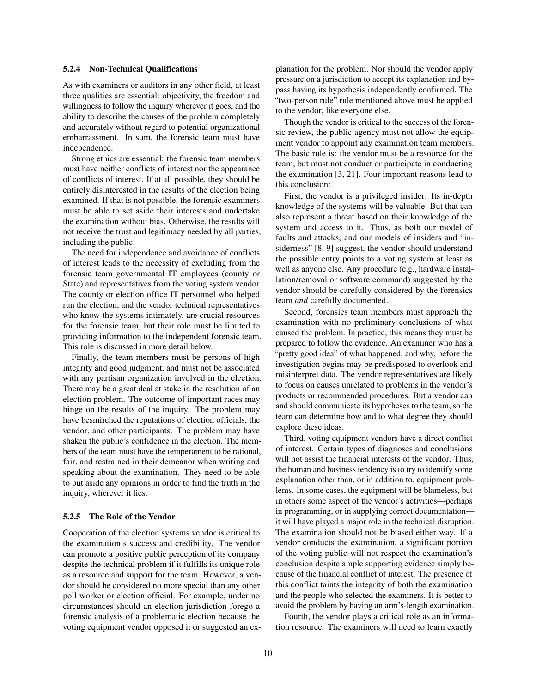#### 5.2.4 Non-Technical Qualifications

As with examiners or auditors in any other field, at least three qualities are essential: objectivity, the freedom and willingness to follow the inquiry wherever it goes, and the ability to describe the causes of the problem completely and accurately without regard to potential organizational embarrassment. In sum, the forensic team must have independence.

Strong ethics are essential: the forensic team members must have neither conflicts of interest nor the appearance of conflicts of interest. If at all possible, they should be entirely disinterested in the results of the election being examined. If that is not possible, the forensic examiners must be able to set aside their interests and undertake the examination without bias. Otherwise, the results will not receive the trust and legitimacy needed by all parties, including the public.

The need for independence and avoidance of conflicts of interest leads to the necessity of excluding from the forensic team governmental IT employees (county or State) and representatives from the voting system vendor. The county or election office IT personnel who helped run the election, and the vendor technical representatives who know the systems intimately, are crucial resources for the forensic team, but their role must be limited to providing information to the independent forensic team. This role is discussed in more detail below.

Finally, the team members must be persons of high integrity and good judgment, and must not be associated with any partisan organization involved in the election. There may be a great deal at stake in the resolution of an election problem. The outcome of important races may hinge on the results of the inquiry. The problem may have besmirched the reputations of election officials, the vendor, and other participants. The problem may have shaken the public's confidence in the election. The members of the team must have the temperament to be rational, fair, and restrained in their demeanor when writing and speaking about the examination. They need to be able to put aside any opinions in order to find the truth in the inquiry, wherever it lies.

#### 5.2.5 The Role of the Vendor

Cooperation of the election systems vendor is critical to the examination's success and credibility. The vendor can promote a positive public perception of its company despite the technical problem if it fulfills its unique role as a resource and support for the team. However, a vendor should be considered no more special than any other poll worker or election official. For example, under no circumstances should an election jurisdiction forego a forensic analysis of a problematic election because the voting equipment vendor opposed it or suggested an explanation for the problem. Nor should the vendor apply pressure on a jurisdiction to accept its explanation and bypass having its hypothesis independently confirmed. The "two-person rule" rule mentioned above must be applied to the vendor, like everyone else.

Though the vendor is critical to the success of the forensic review, the public agency must not allow the equipment vendor to appoint any examination team members. The basic rule is: the vendor must be a resource for the team, but must not conduct or participate in conducting the examination [3, 21]. Four important reasons lead to this conclusion:

First, the vendor is a privileged insider. Its in-depth knowledge of the systems will be valuable. But that can also represent a threat based on their knowledge of the system and access to it. Thus, as both our model of faults and attacks, and our models of insiders and "insiderness" [8, 9] suggest, the vendor should understand the possible entry points to a voting system at least as well as anyone else. Any procedure (e.g., hardware installation/removal or software command) suggested by the vendor should be carefully considered by the forensics team *and* carefully documented.

Second, forensics team members must approach the examination with no preliminary conclusions of what caused the problem. In practice, this means they must be prepared to follow the evidence. An examiner who has a "pretty good idea" of what happened, and why, before the investigation begins may be predisposed to overlook and misinterpret data. The vendor representatives are likely to focus on causes unrelated to problems in the vendor's products or recommended procedures. But a vendor can and should communicate its hypotheses to the team, so the team can determine how and to what degree they should explore these ideas.

Third, voting equipment vendors have a direct conflict of interest. Certain types of diagnoses and conclusions will not assist the financial interests of the vendor. Thus, the human and business tendency is to try to identify some explanation other than, or in addition to, equipment problems. In some cases, the equipment will be blameless, but in others some aspect of the vendor's activities—perhaps in programming, or in supplying correct documentation it will have played a major role in the technical disruption. The examination should not be biased either way. If a vendor conducts the examination, a significant portion of the voting public will not respect the examination's conclusion despite ample supporting evidence simply because of the financial conflict of interest. The presence of this conflict taints the integrity of both the examination and the people who selected the examiners. It is better to avoid the problem by having an arm's-length examination.

Fourth, the vendor plays a critical role as an information resource. The examiners will need to learn exactly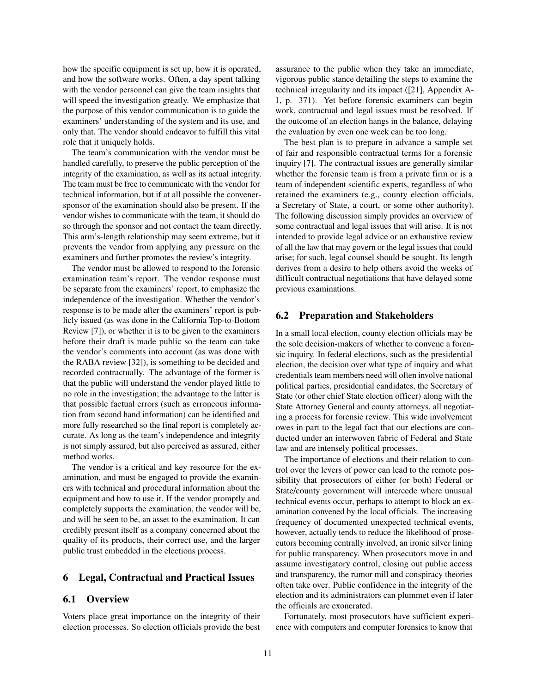how the specific equipment is set up, how it is operated, and how the software works. Often, a day spent talking with the vendor personnel can give the team insights that will speed the investigation greatly. We emphasize that the purpose of this vendor communication is to guide the examiners' understanding of the system and its use, and only that. The vendor should endeavor to fulfill this vital role that it uniquely holds.

The team's communication with the vendor must be handled carefully, to preserve the public perception of the integrity of the examination, as well as its actual integrity. The team must be free to communicate with the vendor for technical information, but if at all possible the convenersponsor of the examination should also be present. If the vendor wishes to communicate with the team, it should do so through the sponsor and not contact the team directly. This arm's-length relationship may seem extreme, but it prevents the vendor from applying any pressure on the examiners and further promotes the review's integrity.

The vendor must be allowed to respond to the forensic examination team's report. The vendor response must be separate from the examiners' report, to emphasize the independence of the investigation. Whether the vendor's response is to be made after the examiners' report is publicly issued (as was done in the California Top-to-Bottom Review [7]), or whether it is to be given to the examiners before their draft is made public so the team can take the vendor's comments into account (as was done with the RABA review [32]), is something to be decided and recorded contractually. The advantage of the former is that the public will understand the vendor played little to no role in the investigation; the advantage to the latter is that possible factual errors (such as erroneous information from second hand information) can be identified and more fully researched so the final report is completely accurate. As long as the team's independence and integrity is not simply assured, but also perceived as assured, either method works.

The vendor is a critical and key resource for the examination, and must be engaged to provide the examiners with technical and procedural information about the equipment and how to use it. If the vendor promptly and completely supports the examination, the vendor will be, and will be seen to be, an asset to the examination. It can credibly present itself as a company concerned about the quality of its products, their correct use, and the larger public trust embedded in the elections process.

## 6 Legal, Contractual and Practical Issues

### 6.1 Overview

Voters place great importance on the integrity of their election processes. So election officials provide the best assurance to the public when they take an immediate, vigorous public stance detailing the steps to examine the technical irregularity and its impact ([21], Appendix A-1, p. 371). Yet before forensic examiners can begin work, contractual and legal issues must be resolved. If the outcome of an election hangs in the balance, delaying the evaluation by even one week can be too long.

The best plan is to prepare in advance a sample set of fair and responsible contractual terms for a forensic inquiry [7]. The contractual issues are generally similar whether the forensic team is from a private firm or is a team of independent scientific experts, regardless of who retained the examiners (e.g., county election officials, a Secretary of State, a court, or some other authority). The following discussion simply provides an overview of some contractual and legal issues that will arise. It is not intended to provide legal advice or an exhaustive review of all the law that may govern or the legal issues that could arise; for such, legal counsel should be sought. Its length derives from a desire to help others avoid the weeks of difficult contractual negotiations that have delayed some previous examinations.

### 6.2 Preparation and Stakeholders

In a small local election, county election officials may be the sole decision-makers of whether to convene a forensic inquiry. In federal elections, such as the presidential election, the decision over what type of inquiry and what credentials team members need will often involve national political parties, presidential candidates, the Secretary of State (or other chief State election officer) along with the State Attorney General and county attorneys, all negotiating a process for forensic review. This wide involvement owes in part to the legal fact that our elections are conducted under an interwoven fabric of Federal and State law and are intensely political processes.

The importance of elections and their relation to control over the levers of power can lead to the remote possibility that prosecutors of either (or both) Federal or State/county government will intercede where unusual technical events occur, perhaps to attempt to block an examination convened by the local officials. The increasing frequency of documented unexpected technical events, however, actually tends to reduce the likelihood of prosecutors becoming centrally involved, an ironic silver lining for public transparency. When prosecutors move in and assume investigatory control, closing out public access and transparency, the rumor mill and conspiracy theories often take over. Public confidence in the integrity of the election and its administrators can plummet even if later the officials are exonerated.

Fortunately, most prosecutors have sufficient experience with computers and computer forensics to know that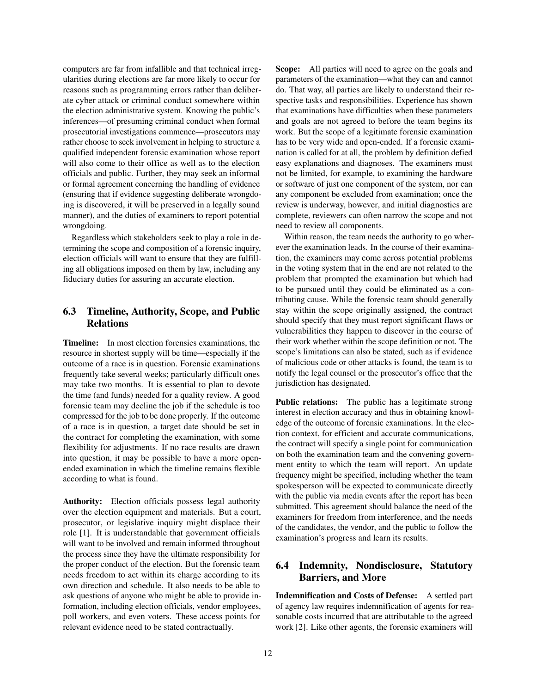computers are far from infallible and that technical irregularities during elections are far more likely to occur for reasons such as programming errors rather than deliberate cyber attack or criminal conduct somewhere within the election administrative system. Knowing the public's inferences—of presuming criminal conduct when formal prosecutorial investigations commence—prosecutors may rather choose to seek involvement in helping to structure a qualified independent forensic examination whose report will also come to their office as well as to the election officials and public. Further, they may seek an informal or formal agreement concerning the handling of evidence (ensuring that if evidence suggesting deliberate wrongdoing is discovered, it will be preserved in a legally sound manner), and the duties of examiners to report potential wrongdoing.

Regardless which stakeholders seek to play a role in determining the scope and composition of a forensic inquiry, election officials will want to ensure that they are fulfilling all obligations imposed on them by law, including any fiduciary duties for assuring an accurate election.

## 6.3 Timeline, Authority, Scope, and Public Relations

Timeline: In most election forensics examinations, the resource in shortest supply will be time—especially if the outcome of a race is in question. Forensic examinations frequently take several weeks; particularly difficult ones may take two months. It is essential to plan to devote the time (and funds) needed for a quality review. A good forensic team may decline the job if the schedule is too compressed for the job to be done properly. If the outcome of a race is in question, a target date should be set in the contract for completing the examination, with some flexibility for adjustments. If no race results are drawn into question, it may be possible to have a more openended examination in which the timeline remains flexible according to what is found.

Authority: Election officials possess legal authority over the election equipment and materials. But a court, prosecutor, or legislative inquiry might displace their role [1]. It is understandable that government officials will want to be involved and remain informed throughout the process since they have the ultimate responsibility for the proper conduct of the election. But the forensic team needs freedom to act within its charge according to its own direction and schedule. It also needs to be able to ask questions of anyone who might be able to provide information, including election officials, vendor employees, poll workers, and even voters. These access points for relevant evidence need to be stated contractually.

Scope: All parties will need to agree on the goals and parameters of the examination—what they can and cannot do. That way, all parties are likely to understand their respective tasks and responsibilities. Experience has shown that examinations have difficulties when these parameters and goals are not agreed to before the team begins its work. But the scope of a legitimate forensic examination has to be very wide and open-ended. If a forensic examination is called for at all, the problem by definition defied easy explanations and diagnoses. The examiners must not be limited, for example, to examining the hardware or software of just one component of the system, nor can any component be excluded from examination; once the review is underway, however, and initial diagnostics are complete, reviewers can often narrow the scope and not need to review all components.

Within reason, the team needs the authority to go wherever the examination leads. In the course of their examination, the examiners may come across potential problems in the voting system that in the end are not related to the problem that prompted the examination but which had to be pursued until they could be eliminated as a contributing cause. While the forensic team should generally stay within the scope originally assigned, the contract should specify that they must report significant flaws or vulnerabilities they happen to discover in the course of their work whether within the scope definition or not. The scope's limitations can also be stated, such as if evidence of malicious code or other attacks is found, the team is to notify the legal counsel or the prosecutor's office that the jurisdiction has designated.

Public relations: The public has a legitimate strong interest in election accuracy and thus in obtaining knowledge of the outcome of forensic examinations. In the election context, for efficient and accurate communications, the contract will specify a single point for communication on both the examination team and the convening government entity to which the team will report. An update frequency might be specified, including whether the team spokesperson will be expected to communicate directly with the public via media events after the report has been submitted. This agreement should balance the need of the examiners for freedom from interference, and the needs of the candidates, the vendor, and the public to follow the examination's progress and learn its results.

## 6.4 Indemnity, Nondisclosure, Statutory Barriers, and More

Indemnification and Costs of Defense: A settled part of agency law requires indemnification of agents for reasonable costs incurred that are attributable to the agreed work [2]. Like other agents, the forensic examiners will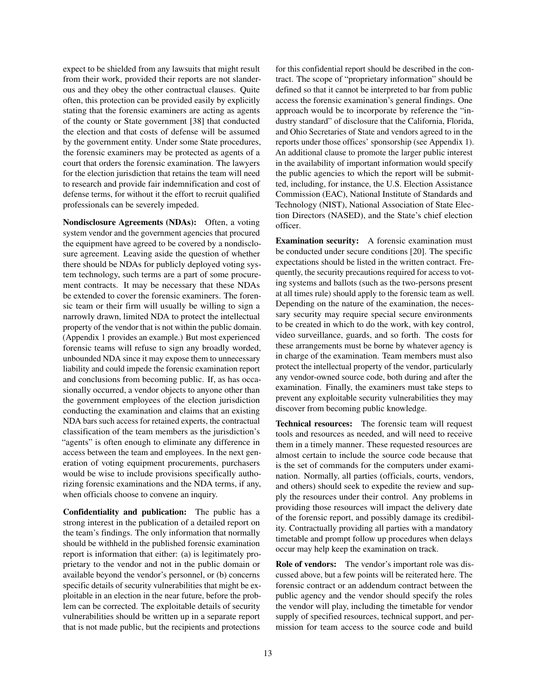expect to be shielded from any lawsuits that might result from their work, provided their reports are not slanderous and they obey the other contractual clauses. Quite often, this protection can be provided easily by explicitly stating that the forensic examiners are acting as agents of the county or State government [38] that conducted the election and that costs of defense will be assumed by the government entity. Under some State procedures, the forensic examiners may be protected as agents of a court that orders the forensic examination. The lawyers for the election jurisdiction that retains the team will need to research and provide fair indemnification and cost of defense terms, for without it the effort to recruit qualified professionals can be severely impeded.

Nondisclosure Agreements (NDAs): Often, a voting system vendor and the government agencies that procured the equipment have agreed to be covered by a nondisclosure agreement. Leaving aside the question of whether there should be NDAs for publicly deployed voting system technology, such terms are a part of some procurement contracts. It may be necessary that these NDAs be extended to cover the forensic examiners. The forensic team or their firm will usually be willing to sign a narrowly drawn, limited NDA to protect the intellectual property of the vendor that is not within the public domain. (Appendix 1 provides an example.) But most experienced forensic teams will refuse to sign any broadly worded, unbounded NDA since it may expose them to unnecessary liability and could impede the forensic examination report and conclusions from becoming public. If, as has occasionally occurred, a vendor objects to anyone other than the government employees of the election jurisdiction conducting the examination and claims that an existing NDA bars such access for retained experts, the contractual classification of the team members as the jurisdiction's "agents" is often enough to eliminate any difference in access between the team and employees. In the next generation of voting equipment procurements, purchasers would be wise to include provisions specifically authorizing forensic examinations and the NDA terms, if any, when officials choose to convene an inquiry.

Confidentiality and publication: The public has a strong interest in the publication of a detailed report on the team's findings. The only information that normally should be withheld in the published forensic examination report is information that either: (a) is legitimately proprietary to the vendor and not in the public domain or available beyond the vendor's personnel, or (b) concerns specific details of security vulnerabilities that might be exploitable in an election in the near future, before the problem can be corrected. The exploitable details of security vulnerabilities should be written up in a separate report that is not made public, but the recipients and protections

for this confidential report should be described in the contract. The scope of "proprietary information" should be defined so that it cannot be interpreted to bar from public access the forensic examination's general findings. One approach would be to incorporate by reference the "industry standard" of disclosure that the California, Florida, and Ohio Secretaries of State and vendors agreed to in the reports under those offices' sponsorship (see Appendix 1). An additional clause to promote the larger public interest in the availability of important information would specify the public agencies to which the report will be submitted, including, for instance, the U.S. Election Assistance Commission (EAC), National Institute of Standards and Technology (NIST), National Association of State Election Directors (NASED), and the State's chief election officer.

Examination security: A forensic examination must be conducted under secure conditions [20]. The specific expectations should be listed in the written contract. Frequently, the security precautions required for access to voting systems and ballots (such as the two-persons present at all times rule) should apply to the forensic team as well. Depending on the nature of the examination, the necessary security may require special secure environments to be created in which to do the work, with key control, video surveillance, guards, and so forth. The costs for these arrangements must be borne by whatever agency is in charge of the examination. Team members must also protect the intellectual property of the vendor, particularly any vendor-owned source code, both during and after the examination. Finally, the examiners must take steps to prevent any exploitable security vulnerabilities they may discover from becoming public knowledge.

Technical resources: The forensic team will request tools and resources as needed, and will need to receive them in a timely manner. These requested resources are almost certain to include the source code because that is the set of commands for the computers under examination. Normally, all parties (officials, courts, vendors, and others) should seek to expedite the review and supply the resources under their control. Any problems in providing those resources will impact the delivery date of the forensic report, and possibly damage its credibility. Contractually providing all parties with a mandatory timetable and prompt follow up procedures when delays occur may help keep the examination on track.

Role of vendors: The vendor's important role was discussed above, but a few points will be reiterated here. The forensic contract or an addendum contract between the public agency and the vendor should specify the roles the vendor will play, including the timetable for vendor supply of specified resources, technical support, and permission for team access to the source code and build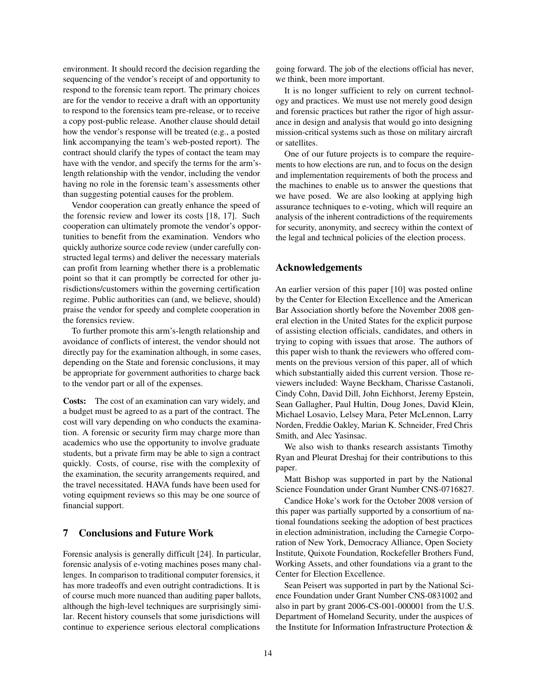environment. It should record the decision regarding the sequencing of the vendor's receipt of and opportunity to respond to the forensic team report. The primary choices are for the vendor to receive a draft with an opportunity to respond to the forensics team pre-release, or to receive a copy post-public release. Another clause should detail how the vendor's response will be treated (e.g., a posted link accompanying the team's web-posted report). The contract should clarify the types of contact the team may have with the vendor, and specify the terms for the arm'slength relationship with the vendor, including the vendor having no role in the forensic team's assessments other than suggesting potential causes for the problem.

Vendor cooperation can greatly enhance the speed of the forensic review and lower its costs [18, 17]. Such cooperation can ultimately promote the vendor's opportunities to benefit from the examination. Vendors who quickly authorize source code review (under carefully constructed legal terms) and deliver the necessary materials can profit from learning whether there is a problematic point so that it can promptly be corrected for other jurisdictions/customers within the governing certification regime. Public authorities can (and, we believe, should) praise the vendor for speedy and complete cooperation in the forensics review.

To further promote this arm's-length relationship and avoidance of conflicts of interest, the vendor should not directly pay for the examination although, in some cases, depending on the State and forensic conclusions, it may be appropriate for government authorities to charge back to the vendor part or all of the expenses.

Costs: The cost of an examination can vary widely, and a budget must be agreed to as a part of the contract. The cost will vary depending on who conducts the examination. A forensic or security firm may charge more than academics who use the opportunity to involve graduate students, but a private firm may be able to sign a contract quickly. Costs, of course, rise with the complexity of the examination, the security arrangements required, and the travel necessitated. HAVA funds have been used for voting equipment reviews so this may be one source of financial support.

## 7 Conclusions and Future Work

Forensic analysis is generally difficult [24]. In particular, forensic analysis of e-voting machines poses many challenges. In comparison to traditional computer forensics, it has more tradeoffs and even outright contradictions. It is of course much more nuanced than auditing paper ballots, although the high-level techniques are surprisingly similar. Recent history counsels that some jurisdictions will continue to experience serious electoral complications

going forward. The job of the elections official has never, we think, been more important.

It is no longer sufficient to rely on current technology and practices. We must use not merely good design and forensic practices but rather the rigor of high assurance in design and analysis that would go into designing mission-critical systems such as those on military aircraft or satellites.

One of our future projects is to compare the requirements to how elections are run, and to focus on the design and implementation requirements of both the process and the machines to enable us to answer the questions that we have posed. We are also looking at applying high assurance techniques to e-voting, which will require an analysis of the inherent contradictions of the requirements for security, anonymity, and secrecy within the context of the legal and technical policies of the election process.

### Acknowledgements

An earlier version of this paper [10] was posted online by the Center for Election Excellence and the American Bar Association shortly before the November 2008 general election in the United States for the explicit purpose of assisting election officials, candidates, and others in trying to coping with issues that arose. The authors of this paper wish to thank the reviewers who offered comments on the previous version of this paper, all of which which substantially aided this current version. Those reviewers included: Wayne Beckham, Charisse Castanoli, Cindy Cohn, David Dill, John Eichhorst, Jeremy Epstein, Sean Gallagher, Paul Hultin, Doug Jones, David Klein, Michael Losavio, Lelsey Mara, Peter McLennon, Larry Norden, Freddie Oakley, Marian K. Schneider, Fred Chris Smith, and Alec Yasinsac.

We also wish to thanks research assistants Timothy Ryan and Pleurat Dreshaj for their contributions to this paper.

Matt Bishop was supported in part by the National Science Foundation under Grant Number CNS-0716827.

Candice Hoke's work for the October 2008 version of this paper was partially supported by a consortium of national foundations seeking the adoption of best practices in election administration, including the Carnegie Corporation of New York, Democracy Alliance, Open Society Institute, Quixote Foundation, Rockefeller Brothers Fund, Working Assets, and other foundations via a grant to the Center for Election Excellence.

Sean Peisert was supported in part by the National Science Foundation under Grant Number CNS-0831002 and also in part by grant 2006-CS-001-000001 from the U.S. Department of Homeland Security, under the auspices of the Institute for Information Infrastructure Protection &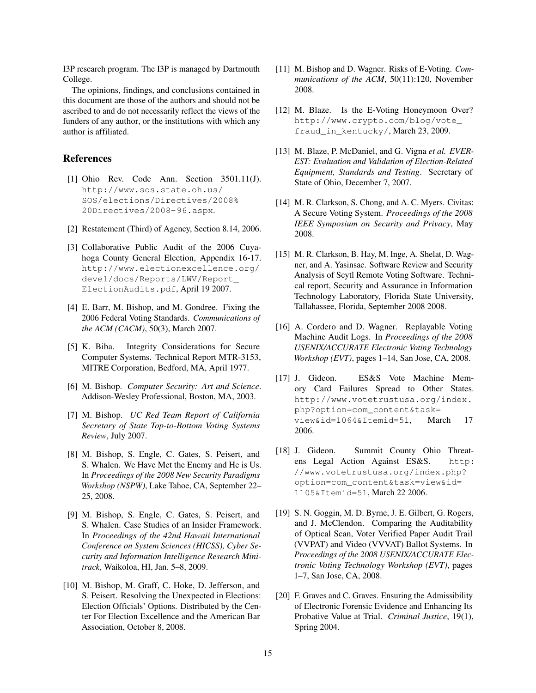I3P research program. The I3P is managed by Dartmouth College.

The opinions, findings, and conclusions contained in this document are those of the authors and should not be ascribed to and do not necessarily reflect the views of the funders of any author, or the institutions with which any author is affiliated.

## References

- [1] Ohio Rev. Code Ann. Section 3501.11(J). http://www.sos.state.oh.us/ SOS/elections/Directives/2008% 20Directives/2008-96.aspx.
- [2] Restatement (Third) of Agency, Section 8.14, 2006.
- [3] Collaborative Public Audit of the 2006 Cuyahoga County General Election, Appendix 16-17. http://www.electionexcellence.org/ devel/docs/Reports/LWV/Report\_ ElectionAudits.pdf, April 19 2007.
- [4] E. Barr, M. Bishop, and M. Gondree. Fixing the 2006 Federal Voting Standards. *Communications of the ACM (CACM)*, 50(3), March 2007.
- [5] K. Biba. Integrity Considerations for Secure Computer Systems. Technical Report MTR-3153, MITRE Corporation, Bedford, MA, April 1977.
- [6] M. Bishop. *Computer Security: Art and Science*. Addison-Wesley Professional, Boston, MA, 2003.
- [7] M. Bishop. *UC Red Team Report of California Secretary of State Top-to-Bottom Voting Systems Review*, July 2007.
- [8] M. Bishop, S. Engle, C. Gates, S. Peisert, and S. Whalen. We Have Met the Enemy and He is Us. In *Proceedings of the 2008 New Security Paradigms Workshop (NSPW)*, Lake Tahoe, CA, September 22– 25, 2008.
- [9] M. Bishop, S. Engle, C. Gates, S. Peisert, and S. Whalen. Case Studies of an Insider Framework. In *Proceedings of the 42nd Hawaii International Conference on System Sciences (HICSS), Cyber Security and Information Intelligence Research Minitrack*, Waikoloa, HI, Jan. 5–8, 2009.
- [10] M. Bishop, M. Graff, C. Hoke, D. Jefferson, and S. Peisert. Resolving the Unexpected in Elections: Election Officials' Options. Distributed by the Center For Election Excellence and the American Bar Association, October 8, 2008.
- [11] M. Bishop and D. Wagner. Risks of E-Voting. *Communications of the ACM*, 50(11):120, November 2008.
- [12] M. Blaze. Is the E-Voting Honeymoon Over? http://www.crypto.com/blog/vote\_ fraud in kentucky/, March 23, 2009.
- [13] M. Blaze, P. McDaniel, and G. Vigna *et al. EVER-EST: Evaluation and Validation of Election-Related Equipment, Standards and Testing*. Secretary of State of Ohio, December 7, 2007.
- [14] M. R. Clarkson, S. Chong, and A. C. Myers. Civitas: A Secure Voting System. *Proceedings of the 2008 IEEE Symposium on Security and Privacy*, May 2008.
- [15] M. R. Clarkson, B. Hay, M. Inge, A. Shelat, D. Wagner, and A. Yasinsac. Software Review and Security Analysis of Scytl Remote Voting Software. Technical report, Security and Assurance in Information Technology Laboratory, Florida State University, Tallahassee, Florida, September 2008 2008.
- [16] A. Cordero and D. Wagner. Replayable Voting Machine Audit Logs. In *Proceedings of the 2008 USENIX/ACCURATE Electronic Voting Technology Workshop (EVT)*, pages 1–14, San Jose, CA, 2008.
- [17] J. Gideon. ES&S Vote Machine Memory Card Failures Spread to Other States. http://www.votetrustusa.org/index. php?option=com\_content&task= view&id=1064&Itemid=51, March 17 2006.
- [18] J. Gideon. Summit County Ohio Threatens Legal Action Against ES&S. http: //www.votetrustusa.org/index.php? option=com\_content&task=view&id= 1105&Itemid=51, March 22 2006.
- [19] S. N. Goggin, M. D. Byrne, J. E. Gilbert, G. Rogers, and J. McClendon. Comparing the Auditability of Optical Scan, Voter Verified Paper Audit Trail (VVPAT) and Video (VVVAT) Ballot Systems. In *Proceedings of the 2008 USENIX/ACCURATE Electronic Voting Technology Workshop (EVT)*, pages 1–7, San Jose, CA, 2008.
- [20] F. Graves and C. Graves. Ensuring the Admissibility of Electronic Forensic Evidence and Enhancing Its Probative Value at Trial. *Criminal Justice*, 19(1), Spring 2004.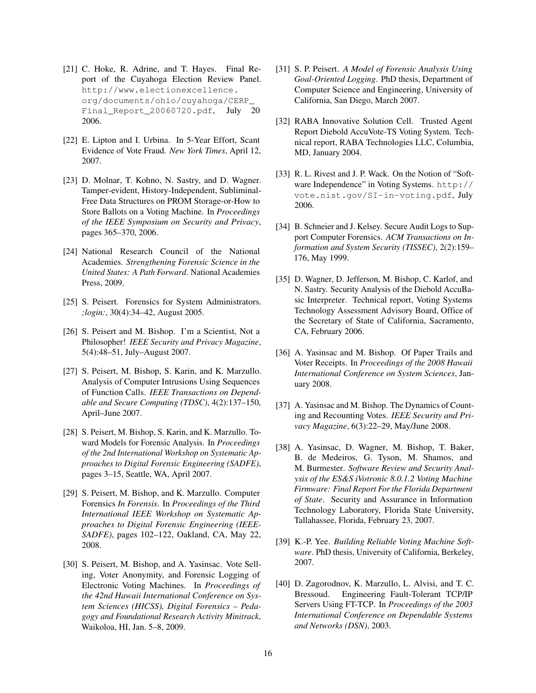- [21] C. Hoke, R. Adrine, and T. Hayes. Final Report of the Cuyahoga Election Review Panel. http://www.electionexcellence. org/documents/ohio/cuyahoga/CERP\_ Final\_Report\_20060720.pdf, July 20 2006.
- [22] E. Lipton and I. Urbina. In 5-Year Effort, Scant Evidence of Vote Fraud. *New York Times*, April 12, 2007.
- [23] D. Molnar, T. Kohno, N. Sastry, and D. Wagner. Tamper-evident, History-Independent, Subliminal-Free Data Structures on PROM Storage-or-How to Store Ballots on a Voting Machine. In *Proceedings of the IEEE Symposium on Security and Privacy*, pages 365–370, 2006.
- [24] National Research Council of the National Academies. *Strengthening Forensic Science in the United States: A Path Forward*. National Academies Press, 2009.
- [25] S. Peisert. Forensics for System Administrators. *;login:*, 30(4):34–42, August 2005.
- [26] S. Peisert and M. Bishop. I'm a Scientist, Not a Philosopher! *IEEE Security and Privacy Magazine*, 5(4):48–51, July–August 2007.
- [27] S. Peisert, M. Bishop, S. Karin, and K. Marzullo. Analysis of Computer Intrusions Using Sequences of Function Calls. *IEEE Transactions on Dependable and Secure Computing (TDSC)*, 4(2):137–150, April–June 2007.
- [28] S. Peisert, M. Bishop, S. Karin, and K. Marzullo. Toward Models for Forensic Analysis. In *Proceedings of the 2nd International Workshop on Systematic Approaches to Digital Forensic Engineering (SADFE)*, pages 3–15, Seattle, WA, April 2007.
- [29] S. Peisert, M. Bishop, and K. Marzullo. Computer Forensics *In Forensis*. In *Proceedings of the Third International IEEE Workshop on Systematic Approaches to Digital Forensic Engineering (IEEE-SADFE)*, pages 102–122, Oakland, CA, May 22, 2008.
- [30] S. Peisert, M. Bishop, and A. Yasinsac. Vote Selling, Voter Anonymity, and Forensic Logging of Electronic Voting Machines. In *Proceedings of the 42nd Hawaii International Conference on System Sciences (HICSS), Digital Forensics – Pedagogy and Foundational Research Activity Minitrack*, Waikoloa, HI, Jan. 5–8, 2009.
- [31] S. P. Peisert. *A Model of Forensic Analysis Using Goal-Oriented Logging*. PhD thesis, Department of Computer Science and Engineering, University of California, San Diego, March 2007.
- [32] RABA Innovative Solution Cell. Trusted Agent Report Diebold AccuVote-TS Voting System. Technical report, RABA Technologies LLC, Columbia, MD, January 2004.
- [33] R. L. Rivest and J. P. Wack. On the Notion of "Software Independence" in Voting Systems. http:// vote.nist.gov/SI-in-voting.pdf, July 2006.
- [34] B. Schneier and J. Kelsey. Secure Audit Logs to Support Computer Forensics. *ACM Transactions on Information and System Security (TISSEC)*, 2(2):159– 176, May 1999.
- [35] D. Wagner, D. Jefferson, M. Bishop, C. Karlof, and N. Sastry. Security Analysis of the Diebold AccuBasic Interpreter. Technical report, Voting Systems Technology Assessment Advisory Board, Office of the Secretary of State of California, Sacramento, CA, February 2006.
- [36] A. Yasinsac and M. Bishop. Of Paper Trails and Voter Receipts. In *Proceedings of the 2008 Hawaii International Conference on System Sciences*, January 2008.
- [37] A. Yasinsac and M. Bishop. The Dynamics of Counting and Recounting Votes. *IEEE Security and Privacy Magazine*, 6(3):22–29, May/June 2008.
- [38] A. Yasinsac, D. Wagner, M. Bishop, T. Baker, B. de Medeiros, G. Tyson, M. Shamos, and M. Burmester. *Software Review and Security Analysis of the ES&S iVotronic 8.0.1.2 Voting Machine Firmware: Final Report For the Florida Department of State*. Security and Assurance in Information Technology Laboratory, Florida State University, Tallahassee, Florida, February 23, 2007.
- [39] K.-P. Yee. *Building Reliable Voting Machine Software*. PhD thesis, University of California, Berkeley, 2007.
- [40] D. Zagorodnov, K. Marzullo, L. Alvisi, and T. C. Bressoud. Engineering Fault-Tolerant TCP/IP Servers Using FT-TCP. In *Proceedings of the 2003 International Conference on Dependable Systems and Networks (DSN)*, 2003.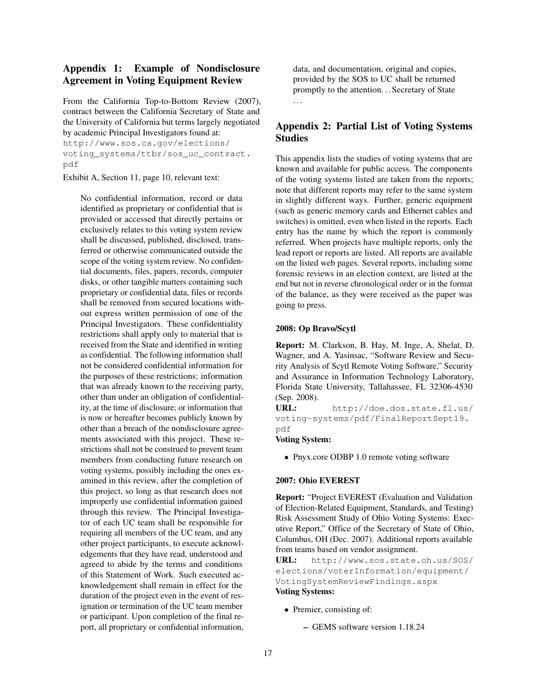# Appendix 1: Example of Nondisclosure Agreement in Voting Equipment Review

From the California Top-to-Bottom Review (2007), contract between the California Secretary of State and the University of California but terms largely negotiated by academic Principal Investigators found at:

http://www.sos.ca.gov/elections/ voting\_systems/ttbr/sos\_uc\_contract. pdf

Exhibit A, Section 11, page 10, relevant text:

No confidential information, record or data identified as proprietary or confidential that is provided or accessed that directly pertains or exclusively relates to this voting system review shall be discussed, published, disclosed, transferred or otherwise communicated outside the scope of the voting system review. No confidential documents, files, papers, records, computer disks, or other tangible matters containing such proprietary or confidential data, files or records shall be removed from secured locations without express written permission of one of the Principal Investigators. These confidentiality restrictions shall apply only to material that is received from the State and identified in writing as confidential. The following information shall not be considered confidential information for the purposes of these restrictions: information that was already known to the receiving party, other than under an obligation of confidentiality, at the time of disclosure; or information that is now or hereafter becomes publicly known by other than a breach of the nondisclosure agreements associated with this project. These restrictions shall not be construed to prevent team members from conducting future research on voting systems, possibly including the ones examined in this review, after the completion of this project, so long as that research does not improperly use confidential information gained through this review. The Principal Investigator of each UC team shall be responsible for requiring all members of the UC team, and any other project participants, to execute acknowledgements that they have read, understood and agreed to abide by the terms and conditions of this Statement of Work. Such executed acknowledgement shall remain in effect for the duration of the project even in the event of resignation or termination of the UC team member or participant. Upon completion of the final report, all proprietary or confidential information, data, and documentation, original and copies, provided by the SOS to UC shall be returned promptly to the attention. . . Secretary of State . . .

# Appendix 2: Partial List of Voting Systems Studies

This appendix lists the studies of voting systems that are known and available for public access. The components of the voting systems listed are taken from the reports; note that different reports may refer to the same system in slightly different ways. Further, generic equipment (such as generic memory cards and Ethernet cables and switches) is omitted, even when listed in the reports. Each entry has the name by which the report is commonly referred. When projects have multiple reports, only the lead report or reports are listed. All reports are available on the listed web pages. Several reports, including some forensic reviews in an election context, are listed at the end but not in reverse chronological order or in the format of the balance, as they were received as the paper was going to press.

### 2008: Op Bravo/Scytl

Report: M. Clarkson, B. Hay, M. Inge, A, Shelat, D. Wagner, and A. Yasinsac, "Software Review and Security Analysis of Scytl Remote Voting Software," Security and Assurance in Information Technology Laboratory, Florida State University, Tallahassee, FL 32306-4530 (Sep. 2008).

URL: http://doe.dos.state.fl.us/ voting-systems/pdf/FinalReportSept19. pdf

#### Voting System:

• Pnyx.core ODBP 1.0 remote voting software

### 2007: Ohio EVEREST

Report: "Project EVEREST (Evaluation and Validation of Election-Related Equipment, Standards, and Testing) Risk Assessment Study of Ohio Voting Systems: Executive Report," Office of the Secretary of State of Ohio, Columbus, OH (Dec. 2007). Additional reports available from teams based on vendor assignment.

URL: http://www.sos.state.oh.us/SOS/ elections/voterInformation/equipment/ VotingSystemReviewFindings.aspx Voting Systems:

- Premier, consisting of:
	- GEMS software version 1.18.24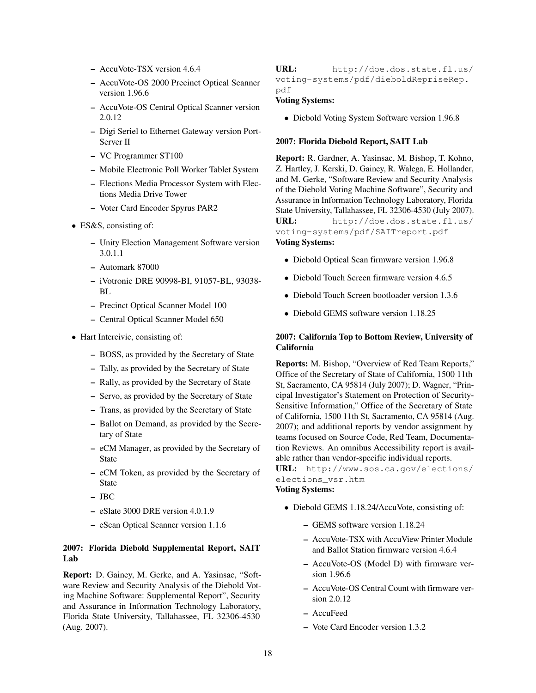- AccuVote-TSX version 4.6.4
- AccuVote-OS 2000 Precinct Optical Scanner version 1.96.6
- AccuVote-OS Central Optical Scanner version 2.0.12
- Digi Seriel to Ethernet Gateway version Port-Server II
- VC Programmer ST100
- Mobile Electronic Poll Worker Tablet System
- Elections Media Processor System with Elections Media Drive Tower
- Voter Card Encoder Spyrus PAR2
- ES&S, consisting of:
	- Unity Election Management Software version 3.0.1.1
	- Automark 87000
	- iVotronic DRE 90998-BI, 91057-BL, 93038- RL.
	- Precinct Optical Scanner Model 100
	- Central Optical Scanner Model 650
- Hart Intercivic, consisting of:
	- BOSS, as provided by the Secretary of State
	- Tally, as provided by the Secretary of State
	- Rally, as provided by the Secretary of State
	- Servo, as provided by the Secretary of State
	- Trans, as provided by the Secretary of State
	- Ballot on Demand, as provided by the Secretary of State
	- eCM Manager, as provided by the Secretary of State
	- eCM Token, as provided by the Secretary of State
	- JBC
	- eSlate 3000 DRE version 4.0.1.9
	- eScan Optical Scanner version 1.1.6

## 2007: Florida Diebold Supplemental Report, SAIT Lab

Report: D. Gainey, M. Gerke, and A. Yasinsac, "Software Review and Security Analysis of the Diebold Voting Machine Software: Supplemental Report", Security and Assurance in Information Technology Laboratory, Florida State University, Tallahassee, FL 32306-4530 (Aug. 2007).

### URL: http://doe.dos.state.fl.us/ voting-systems/pdf/dieboldRepriseRep. pdf

### Voting Systems:

• Diebold Voting System Software version 1.96.8

### 2007: Florida Diebold Report, SAIT Lab

Report: R. Gardner, A. Yasinsac, M. Bishop, T. Kohno, Z. Hartley, J. Kerski, D. Gainey, R. Walega, E. Hollander, and M. Gerke, "Software Review and Security Analysis of the Diebold Voting Machine Software", Security and Assurance in Information Technology Laboratory, Florida State University, Tallahassee, FL 32306-4530 (July 2007). URL: http://doe.dos.state.fl.us/ voting-systems/pdf/SAITreport.pdf

## Voting Systems:

- Diebold Optical Scan firmware version 1.96.8
- Diebold Touch Screen firmware version 4.6.5
- Diebold Touch Screen bootloader version 1.3.6
- Diebold GEMS software version 1.18.25

### 2007: California Top to Bottom Review, University of California

Reports: M. Bishop, "Overview of Red Team Reports," Office of the Secretary of State of California, 1500 11th St, Sacramento, CA 95814 (July 2007); D. Wagner, "Principal Investigator's Statement on Protection of Security-Sensitive Information," Office of the Secretary of State of California, 1500 11th St, Sacramento, CA 95814 (Aug. 2007); and additional reports by vendor assignment by teams focused on Source Code, Red Team, Documentation Reviews. An omnibus Accessibility report is available rather than vendor-specific individual reports.

URL: http://www.sos.ca.gov/elections/ elections\_vsr.htm

### Voting Systems:

- Diebold GEMS 1.18.24/AccuVote, consisting of:
	- GEMS software version 1.18.24
	- AccuVote-TSX with AccuView Printer Module and Ballot Station firmware version 4.6.4
	- AccuVote-OS (Model D) with firmware version 1.96.6
	- AccuVote-OS Central Count with firmware version 2.0.12
	- AccuFeed
	- Vote Card Encoder version 1.3.2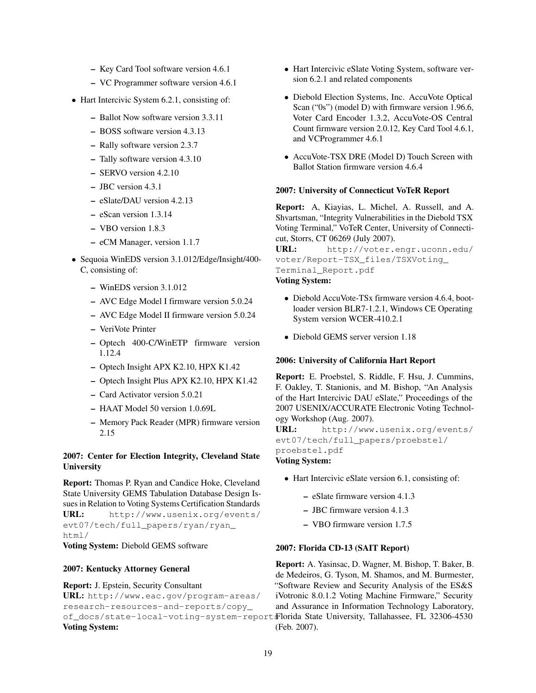- Key Card Tool software version 4.6.1
- VC Programmer software version 4.6.1
- Hart Intercivic System 6.2.1, consisting of:
	- Ballot Now software version 3.3.11
	- BOSS software version 4.3.13
	- Rally software version 2.3.7
	- Tally software version 4.3.10
	- SERVO version 4.2.10
	- JBC version 4.3.1
	- eSlate/DAU version 4.2.13
	- eScan version 1.3.14
	- VBO version 1.8.3
	- eCM Manager, version 1.1.7
- Sequoia WinEDS version 3.1.012/Edge/Insight/400- C, consisting of:
	- WinEDS version 3.1.012
	- AVC Edge Model I firmware version 5.0.24
	- AVC Edge Model II firmware version 5.0.24
	- VeriVote Printer
	- Optech 400-C/WinETP firmware version 1.12.4
	- Optech Insight APX K2.10, HPX K1.42
	- Optech Insight Plus APX K2.10, HPX K1.42
	- Card Activator version 5.0.21
	- HAAT Model 50 version 1.0.69L
	- Memory Pack Reader (MPR) firmware version 2.15

### 2007: Center for Election Integrity, Cleveland State **University**

Report: Thomas P. Ryan and Candice Hoke, Cleveland State University GEMS Tabulation Database Design Issues in Relation to Voting Systems Certification Standards URL: http://www.usenix.org/events/ evt07/tech/full\_papers/ryan/ryan\_ html/ Voting System: Diebold GEMS software

## 2007: Kentucky Attorney General

#### Report: J. Epstein, Security Consultant

URL: http://www.eac.gov/program-areas/ research-resources-and-reports/copy\_ of\_docs/state-local-voting-system-report Florida State University, Tallahassee, FL 32306-4530 Voting System:

- Hart Intercivic eSlate Voting System, software version 6.2.1 and related components
- Diebold Election Systems, Inc. AccuVote Optical Scan ("0s") (model D) with firmware version 1.96.6, Voter Card Encoder 1.3.2, AccuVote-OS Central Count firmware version 2.0.12, Key Card Tool 4.6.1, and VCProgrammer 4.6.1
- AccuVote-TSX DRE (Model D) Touch Screen with Ballot Station firmware version 4.6.4

#### 2007: University of Connecticut VoTeR Report

Report: A, Kiayias, L. Michel, A. Russell, and A. Shvartsman, "Integrity Vulnerabilities in the Diebold TSX Voting Terminal," VoTeR Center, University of Connecticut, Storrs, CT 06269 (July 2007).

URL: http://voter.engr.uconn.edu/ voter/Report-TSX\_files/TSXVoting\_ Terminal\_Report.pdf

# Voting System:

- Diebold AccuVote-TSx firmware version 4.6.4, bootloader version BLR7-1.2.1, Windows CE Operating System version WCER-410.2.1
- Diebold GEMS server version 1.18

### 2006: University of California Hart Report

Report: E. Proebstel, S. Riddle, F. Hsu, J. Cummins, F. Oakley, T. Stanionis, and M. Bishop, "An Analysis of the Hart Intercivic DAU eSlate," Proceedings of the 2007 USENIX/ACCURATE Electronic Voting Technology Workshop (Aug. 2007).

URL: http://www.usenix.org/events/ evt07/tech/full\_papers/proebstel/ proebstel.pdf

### Voting System:

- Hart Intercivic eSlate version 6.1, consisting of:
	- eSlate firmware version 4.1.3
	- JBC firmware version 4.1.3
	- VBO firmware version 1.7.5

### 2007: Florida CD-13 (SAIT Report)

Report: A. Yasinsac, D. Wagner, M. Bishop, T. Baker, B. de Medeiros, G. Tyson, M. Shamos, and M. Burmester, "Software Review and Security Analysis of the ES&S iVotronic 8.0.1.2 Voting Machine Firmware," Security and Assurance in Information Technology Laboratory, (Feb. 2007).